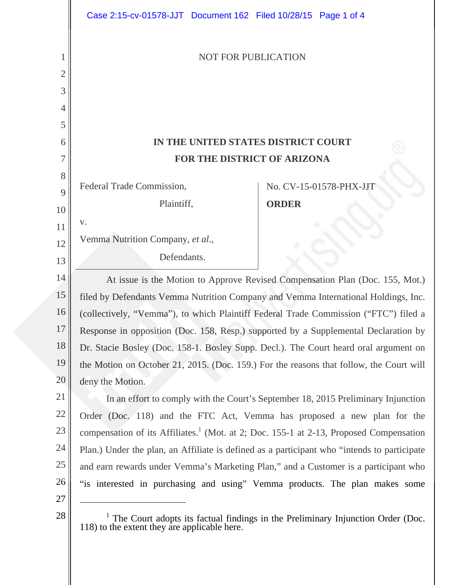|        | Case 2:15-cv-01578-JJT Document 162 Filed 10/28/15 Page 1 of 4                                                                               |  |
|--------|----------------------------------------------------------------------------------------------------------------------------------------------|--|
| 1<br>2 | <b>NOT FOR PUBLICATION</b>                                                                                                                   |  |
| 3      |                                                                                                                                              |  |
| 4      |                                                                                                                                              |  |
| 5      |                                                                                                                                              |  |
| 6      | IN THE UNITED STATES DISTRICT COURT                                                                                                          |  |
| 7      | FOR THE DISTRICT OF ARIZONA                                                                                                                  |  |
| 8      |                                                                                                                                              |  |
| 9      | Federal Trade Commission,<br>No. CV-15-01578-PHX-JJT                                                                                         |  |
| 10     | Plaintiff,<br><b>ORDER</b>                                                                                                                   |  |
| 11     | V.                                                                                                                                           |  |
| 12     | Vemma Nutrition Company, et al.,                                                                                                             |  |
| 13     | Defendants.                                                                                                                                  |  |
| 14     | At issue is the Motion to Approve Revised Compensation Plan (Doc. 155, Mot.)                                                                 |  |
| 15     | filed by Defendants Vemma Nutrition Company and Vemma International Holdings, Inc.                                                           |  |
| 16     | (collectively, "Vemma"), to which Plaintiff Federal Trade Commission ("FTC") filed a                                                         |  |
| 17     | Response in opposition (Doc. 158, Resp.) supported by a Supplemental Declaration by                                                          |  |
| 18     | Dr. Stacie Bosley (Doc. 158-1. Bosley Supp. Decl.). The Court heard oral argument on                                                         |  |
| 19     | the Motion on October 21, 2015. (Doc. 159.) For the reasons that follow, the Court will                                                      |  |
| 20     | deny the Motion.                                                                                                                             |  |
| 21     | In an effort to comply with the Court's September 18, 2015 Preliminary Injunction                                                            |  |
| 22     | Order (Doc. 118) and the FTC Act, Vemma has proposed a new plan for the                                                                      |  |
| 23     | compensation of its Affiliates. <sup>1</sup> (Mot. at 2; Doc. 155-1 at 2-13, Proposed Compensation                                           |  |
| 24     | Plan.) Under the plan, an Affiliate is defined as a participant who "intends to participate                                                  |  |
| 25     | and earn rewards under Vemma's Marketing Plan," and a Customer is a participant who                                                          |  |
| 26     | "is interested in purchasing and using" Vemma products. The plan makes some                                                                  |  |
| 27     |                                                                                                                                              |  |
| 28     | <sup>1</sup> The Court adopts its factual findings in the Preliminary Injunction Order (Doc.<br>118) to the extent they are applicable here. |  |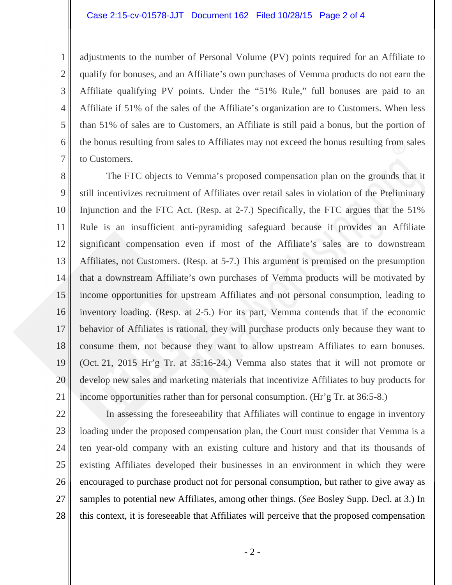## Case 2:15-cv-01578-JJT Document 162 Filed 10/28/15 Page 2 of 4

adjustments to the number of Personal Volume (PV) points required for an Affiliate to qualify for bonuses, and an Affiliate's own purchases of Vemma products do not earn the Affiliate qualifying PV points. Under the "51% Rule," full bonuses are paid to an Affiliate if 51% of the sales of the Affiliate's organization are to Customers. When less than 51% of sales are to Customers, an Affiliate is still paid a bonus, but the portion of the bonus resulting from sales to Affiliates may not exceed the bonus resulting from sales to Customers.

8 9 10 11 12 13 14 15 16 17 18 19 20 21 The FTC objects to Vemma's proposed compensation plan on the grounds that it still incentivizes recruitment of Affiliates over retail sales in violation of the Preliminary Injunction and the FTC Act. (Resp. at 2-7.) Specifically, the FTC argues that the 51% Rule is an insufficient anti-pyramiding safeguard because it provides an Affiliate significant compensation even if most of the Affiliate's sales are to downstream Affiliates, not Customers. (Resp. at 5-7.) This argument is premised on the presumption that a downstream Affiliate's own purchases of Vemma products will be motivated by income opportunities for upstream Affiliates and not personal consumption, leading to inventory loading. (Resp. at 2-5.) For its part, Vemma contends that if the economic behavior of Affiliates is rational, they will purchase products only because they want to consume them, not because they want to allow upstream Affiliates to earn bonuses. (Oct. 21, 2015 Hr'g Tr. at 35:16-24.) Vemma also states that it will not promote or develop new sales and marketing materials that incentivize Affiliates to buy products for income opportunities rather than for personal consumption. (Hr'g Tr. at 36:5-8.)

1

2

3

4

5

6

7

28 In assessing the foreseeability that Affiliates will continue to engage in inventory loading under the proposed compensation plan, the Court must consider that Vemma is a ten year-old company with an existing culture and history and that its thousands of existing Affiliates developed their businesses in an environment in which they were encouraged to purchase product not for personal consumption, but rather to give away as samples to potential new Affiliates, among other things. (*See* Bosley Supp. Decl. at 3.) In this context, it is foreseeable that Affiliates will perceive that the proposed compensation

- 2 -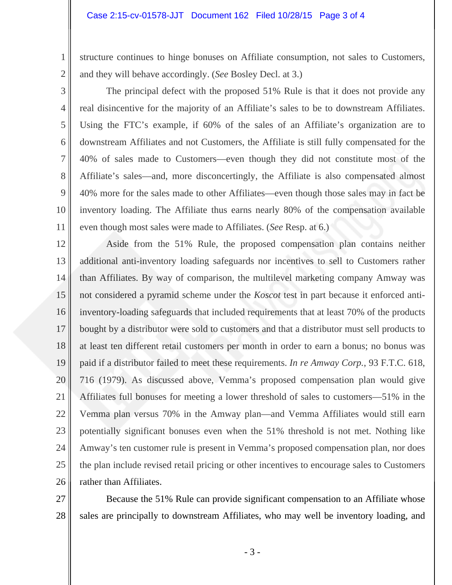structure continues to hinge bonuses on Affiliate consumption, not sales to Customers, and they will behave accordingly. (*See* Bosley Decl. at 3.)

3 4

5

6

7

8

9

10

11

1

2

The principal defect with the proposed 51% Rule is that it does not provide any real disincentive for the majority of an Affiliate's sales to be to downstream Affiliates. Using the FTC's example, if 60% of the sales of an Affiliate's organization are to downstream Affiliates and not Customers, the Affiliate is still fully compensated for the 40% of sales made to Customers—even though they did not constitute most of the Affiliate's sales—and, more disconcertingly, the Affiliate is also compensated almost 40% more for the sales made to other Affiliates—even though those sales may in fact be inventory loading. The Affiliate thus earns nearly 80% of the compensation available even though most sales were made to Affiliates. (*See* Resp. at 6.)

12 13 14 15 16 17 18 19 20 21 22 23 24 25 26 Aside from the 51% Rule, the proposed compensation plan contains neither additional anti-inventory loading safeguards nor incentives to sell to Customers rather than Affiliates. By way of comparison, the multilevel marketing company Amway was not considered a pyramid scheme under the *Koscot* test in part because it enforced antiinventory-loading safeguards that included requirements that at least 70% of the products bought by a distributor were sold to customers and that a distributor must sell products to at least ten different retail customers per month in order to earn a bonus; no bonus was paid if a distributor failed to meet these requirements. *In re Amway Corp.*, 93 F.T.C. 618, 716 (1979). As discussed above, Vemma's proposed compensation plan would give Affiliates full bonuses for meeting a lower threshold of sales to customers—51% in the Vemma plan versus 70% in the Amway plan—and Vemma Affiliates would still earn potentially significant bonuses even when the 51% threshold is not met. Nothing like Amway's ten customer rule is present in Vemma's proposed compensation plan, nor does the plan include revised retail pricing or other incentives to encourage sales to Customers rather than Affiliates.

27 28 Because the 51% Rule can provide significant compensation to an Affiliate whose sales are principally to downstream Affiliates, who may well be inventory loading, and

- 3 -